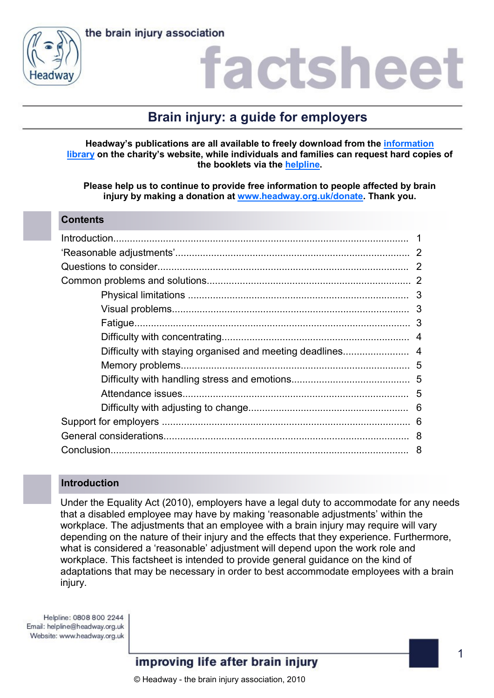the brain injury association



### actshee

### **Brain injury: a guide for employers**

**Headway's publications are all available to freely download from the [information](https://www.headway.org.uk/about-brain-injury/individuals/information-library/)  [library](https://www.headway.org.uk/about-brain-injury/individuals/information-library/) on the charity's website, while individuals and families can request hard copies of the booklets via the [helpline.](https://www.headway.org.uk/supporting-you/helpline/)**

**Please help us to continue to provide free information to people affected by brain injury by making a donation at [www.headway.org.uk/donate.](http://www.headway.org.uk/donate) Thank you.**

#### **Contents**

### **Introduction**

Under the Equality Act (2010), employers have a legal duty to accommodate for any needs that a disabled employee may have by making 'reasonable adjustments' within the workplace. The adjustments that an employee with a brain injury may require will vary depending on the nature of their injury and the effects that they experience. Furthermore, what is considered a 'reasonable' adjustment will depend upon the work role and workplace. This factsheet is intended to provide general guidance on the kind of adaptations that may be necessary in order to best accommodate employees with a brain injury.

Helpline: 0808 800 2244 Email: helpline@headway.org.uk Website: www.headway.org.uk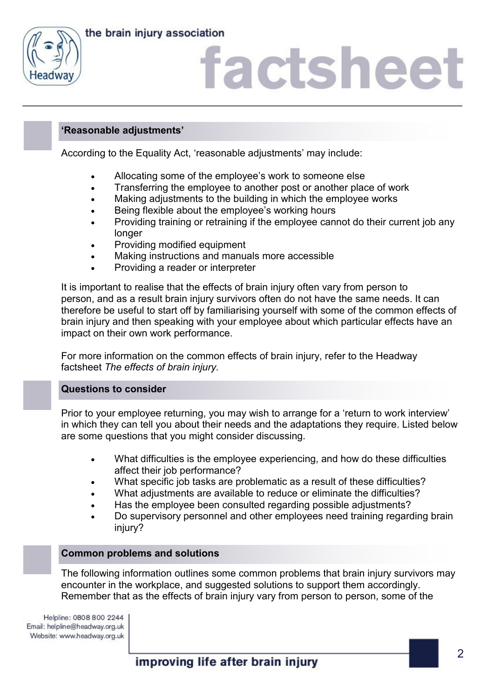



### **'Reasonable adjustments'**

According to the Equality Act, 'reasonable adjustments' may include:

- Allocating some of the employee's work to someone else
- Transferring the employee to another post or another place of work
- Making adjustments to the building in which the employee works
- **•** Being flexible about the employee's working hours
- Providing training or retraining if the employee cannot do their current job any longer
- Providing modified equipment
- Making instructions and manuals more accessible
- Providing a reader or interpreter

It is important to realise that the effects of brain injury often vary from person to person, and as a result brain injury survivors often do not have the same needs. It can therefore be useful to start off by familiarising yourself with some of the common effects of brain injury and then speaking with your employee about which particular effects have an impact on their own work performance.

For more information on the common effects of brain injury, refer to the Headway factsheet *The effects of brain injury.*

### **Questions to consider**

Prior to your employee returning, you may wish to arrange for a 'return to work interview' in which they can tell you about their needs and the adaptations they require. Listed below are some questions that you might consider discussing.

- What difficulties is the employee experiencing, and how do these difficulties affect their job performance?
- What specific job tasks are problematic as a result of these difficulties?
- What adjustments are available to reduce or eliminate the difficulties?
- Has the employee been consulted regarding possible adjustments?
- Do supervisory personnel and other employees need training regarding brain injury?

### **Common problems and solutions**

The following information outlines some common problems that brain injury survivors may encounter in the workplace, and suggested solutions to support them accordingly. Remember that as the effects of brain injury vary from person to person, some of the

Helpline: 0808 800 2244 Email: helpline@headway.org.uk Website: www.headway.org.uk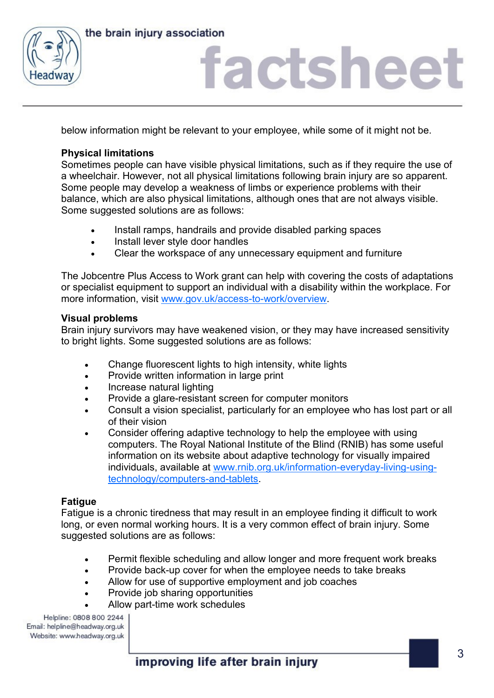



below information might be relevant to your employee, while some of it might not be.

### **Physical limitations**

Sometimes people can have visible physical limitations, such as if they require the use of a wheelchair. However, not all physical limitations following brain injury are so apparent. Some people may develop a weakness of limbs or experience problems with their balance, which are also physical limitations, although ones that are not always visible. Some suggested solutions are as follows:

- Install ramps, handrails and provide disabled parking spaces
- Install lever style door handles
- Clear the workspace of any unnecessary equipment and furniture

The Jobcentre Plus Access to Work grant can help with covering the costs of adaptations or specialist equipment to support an individual with a disability within the workplace. For more information, visit [www.gov.uk/access-to-work/overview.](http://www.gov.uk/access-to-work/overview)

### **Visual problems**

Brain injury survivors may have weakened vision, or they may have increased sensitivity to bright lights. Some suggested solutions are as follows:

- Change fluorescent lights to high intensity, white lights
- Provide written information in large print
- Increase natural lighting
- Provide a glare-resistant screen for computer monitors
- Consult a vision specialist, particularly for an employee who has lost part or all of their vision
- Consider offering adaptive technology to help the employee with using computers. The Royal National Institute of the Blind (RNIB) has some useful information on its website about adaptive technology for visually impaired individuals, available at [www.rnib.org.uk/information-everyday-living-using](http://www.rnib.org.uk/information-everyday-living-using-technology/computers-and-tablets)[technology/computers-and-tablets.](http://www.rnib.org.uk/information-everyday-living-using-technology/computers-and-tablets)

### **Fatigue**

Fatigue is a chronic tiredness that may result in an employee finding it difficult to work long, or even normal working hours. It is a very common effect of brain injury. Some suggested solutions are as follows:

- Permit flexible scheduling and allow longer and more frequent work breaks
- Provide back-up cover for when the employee needs to take breaks
- Allow for use of supportive employment and job coaches
- Provide job sharing opportunities
- Allow part-time work schedules

Helpline: 0808 800 2244 Email: helpline@headway.org.uk Website: www.headway.org.uk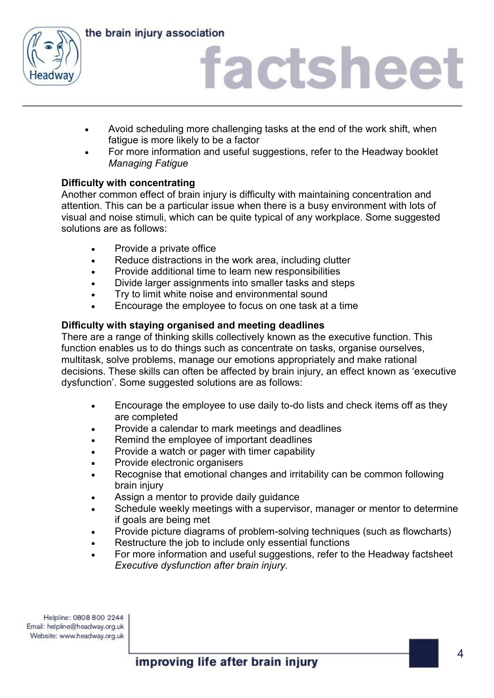



- Avoid scheduling more challenging tasks at the end of the work shift, when fatigue is more likely to be a factor
- For more information and useful suggestions, refer to the Headway booklet *Managing Fatigue*

### **Difficulty with concentrating**

Another common effect of brain injury is difficulty with maintaining concentration and attention. This can be a particular issue when there is a busy environment with lots of visual and noise stimuli, which can be quite typical of any workplace. Some suggested solutions are as follows:

- Provide a private office
- Reduce distractions in the work area, including clutter
- Provide additional time to learn new responsibilities
- Divide larger assignments into smaller tasks and steps
- Try to limit white noise and environmental sound
- Encourage the employee to focus on one task at a time

### **Difficulty with staying organised and meeting deadlines**

There are a range of thinking skills collectively known as the executive function. This function enables us to do things such as concentrate on tasks, organise ourselves, multitask, solve problems, manage our emotions appropriately and make rational decisions. These skills can often be affected by brain injury, an effect known as 'executive dysfunction'. Some suggested solutions are as follows:

- Encourage the employee to use daily to-do lists and check items off as they are completed
- Provide a calendar to mark meetings and deadlines
- Remind the employee of important deadlines
- Provide a watch or pager with timer capability
- Provide electronic organisers
- Recognise that emotional changes and irritability can be common following brain injury
- Assign a mentor to provide daily guidance
- Schedule weekly meetings with a supervisor, manager or mentor to determine if goals are being met
- Provide picture diagrams of problem-solving techniques (such as flowcharts)
- Restructure the job to include only essential functions
- For more information and useful suggestions, refer to the Headway factsheet *Executive dysfunction after brain injury.*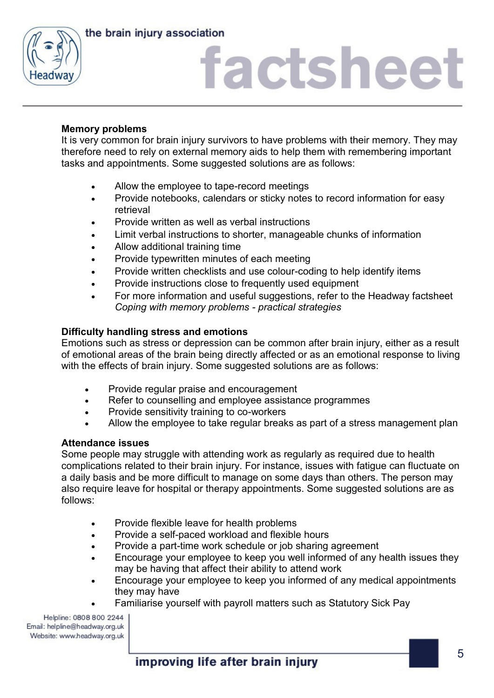the brain injury association



## factsheet

### **Memory problems**

It is very common for brain injury survivors to have problems with their memory. They may therefore need to rely on external memory aids to help them with remembering important tasks and appointments. Some suggested solutions are as follows:

- Allow the employee to tape-record meetings
- Provide notebooks, calendars or sticky notes to record information for easy retrieval
- Provide written as well as verbal instructions
- Limit verbal instructions to shorter, manageable chunks of information
- Allow additional training time
- Provide typewritten minutes of each meeting
- Provide written checklists and use colour-coding to help identify items
- Provide instructions close to frequently used equipment
- For more information and useful suggestions, refer to the Headway factsheet *Coping with memory problems - practical strategies*

### **Difficulty handling stress and emotions**

Emotions such as stress or depression can be common after brain injury, either as a result of emotional areas of the brain being directly affected or as an emotional response to living with the effects of brain injury. Some suggested solutions are as follows:

- Provide regular praise and encouragement
- Refer to counselling and employee assistance programmes
- Provide sensitivity training to co-workers
- Allow the employee to take regular breaks as part of a stress management plan

### **Attendance issues**

Some people may struggle with attending work as regularly as required due to health complications related to their brain injury. For instance, issues with fatigue can fluctuate on a daily basis and be more difficult to manage on some days than others. The person may also require leave for hospital or therapy appointments. Some suggested solutions are as follows:

- Provide flexible leave for health problems
- Provide a self-paced workload and flexible hours
- Provide a part-time work schedule or job sharing agreement
- Encourage your employee to keep you well informed of any health issues they may be having that affect their ability to attend work
- Encourage your employee to keep you informed of any medical appointments they may have
- Familiarise yourself with payroll matters such as Statutory Sick Pay

Helpline: 0808 800 2244 Email: helpline@headway.org.uk Website: www.headway.org.uk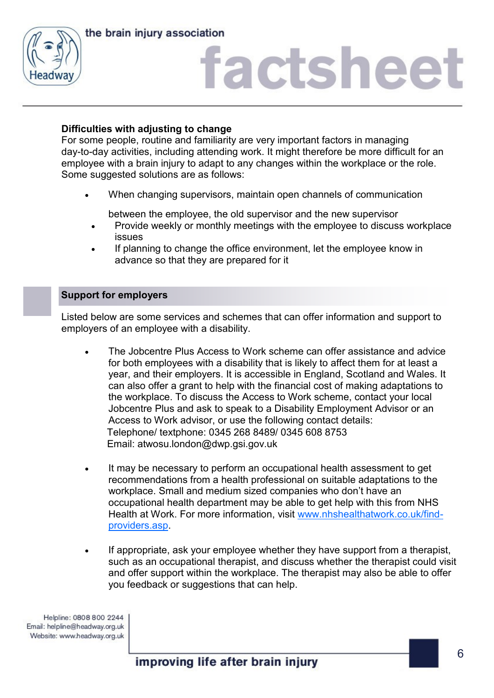



### **Difficulties with adjusting to change**

For some people, routine and familiarity are very important factors in managing day-to-day activities, including attending work. It might therefore be more difficult for an employee with a brain injury to adapt to any changes within the workplace or the role. Some suggested solutions are as follows:

When changing supervisors, maintain open channels of communication

between the employee, the old supervisor and the new supervisor

- Provide weekly or monthly meetings with the employee to discuss workplace issues
- If planning to change the office environment, let the employee know in advance so that they are prepared for it

#### **Support for employers**

Listed below are some services and schemes that can offer information and support to employers of an employee with a disability.

- The Jobcentre Plus Access to Work scheme can offer assistance and advice for both employees with a disability that is likely to affect them for at least a year, and their employers. It is accessible in England, Scotland and Wales. It can also offer a grant to help with the financial cost of making adaptations to the workplace. To discuss the Access to Work scheme, contact your local Jobcentre Plus and ask to speak to a Disability Employment Advisor or an Access to Work advisor, or use the following contact details: Telephone/ textphone: 0345 268 8489/ 0345 608 8753 Email: atwosu.london@dwp.gsi.gov.uk
- It may be necessary to perform an occupational health assessment to get recommendations from a health professional on suitable adaptations to the workplace. Small and medium sized companies who don't have an occupational health department may be able to get help with this from NHS Health at Work. For more information, visit [www.nhshealthatwork.co.uk/find](http://www.nhshealthatwork.co.uk/find-providers.asp)[providers.asp.](http://www.nhshealthatwork.co.uk/find-providers.asp)
- If appropriate, ask your employee whether they have support from a therapist, such as an occupational therapist, and discuss whether the therapist could visit and offer support within the workplace. The therapist may also be able to offer you feedback or suggestions that can help.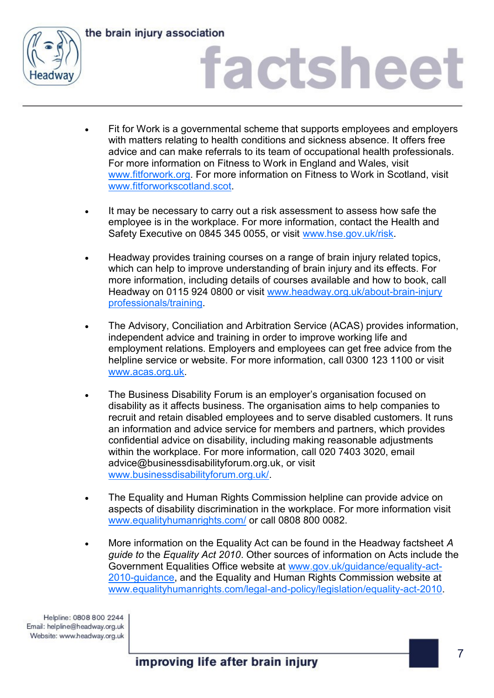

the brain injury association

# factsheet

- Fit for Work is a governmental scheme that supports employees and employers with matters relating to health conditions and sickness absence. It offers free advice and can make referrals to its team of occupational health professionals. For more information on Fitness to Work in England and Wales, visit [www.fitforwork.org.](http://www.fitforwork.org) For more information on Fitness to Work in Scotland, visit [www.fitforworkscotland.scot.](http://www.fitforworkscotland.scot)
- It may be necessary to carry out a risk assessment to assess how safe the employee is in the workplace. For more information, contact the Health and Safety Executive on 0845 345 0055, or visit www.hse.gov.uk/risk.
- Headway provides training courses on a range of brain injury related topics, which can help to improve understanding of brain injury and its effects. For more information, including details of courses available and how to book, call Headway on 0115 924 0800 or visit [www.headway.org.uk/about-brain-injury](http://www.headway.org.uk/about-brain-injury%20professionals/training)  [professionals/training.](http://www.headway.org.uk/about-brain-injury%20professionals/training)
- The Advisory, Conciliation and Arbitration Service (ACAS) provides information, independent advice and training in order to improve working life and employment relations. Employers and employees can get free advice from the helpline service or website. For more information, call 0300 123 1100 or visit [www.acas.org.uk.](http://www.acas.org.uk)
- The Business Disability Forum is an employer's organisation focused on disability as it affects business. The organisation aims to help companies to recruit and retain disabled employees and to serve disabled customers. It runs an information and advice service for members and partners, which provides confidential advice on disability, including making reasonable adjustments within the workplace. For more information, call 020 7403 3020, email [advice@businessdisabilityforum.org.uk,](mailto:advice@businessdisabilityforum.org.uk) or visit [www.businessdisabilityforum.org.uk/.](http://www.businessdisabilityforum.org.uk/)
- The Equality and Human Rights Commission helpline can provide advice on aspects of disability discrimination in the workplace. For more information visit [www.equalityhumanrights.com/](http://www.equalityhumanrights.com) or call 0808 800 0082.
- More information on the Equality Act can be found in the Headway factsheet *A guide to* the *Equality Act 2010*. Other sources of information on Acts include the Government Equalities Office website at [www.gov.uk/guidance/equality-act-](https://www.gov.uk/guidance/equality-act-2010-guidance)[2010-guidance,](https://www.gov.uk/guidance/equality-act-2010-guidance) and the Equality and Human Rights Commission website at [www.equalityhumanrights.com/legal-and-policy/legislation/equality-act-2010.](http://www.equalityhumanrights.com/legal-and-policy/legislation/equality-act-2010)

Helpline: 0808 800 2244 Email: helpline@headway.org.uk Website: www.headway.org.uk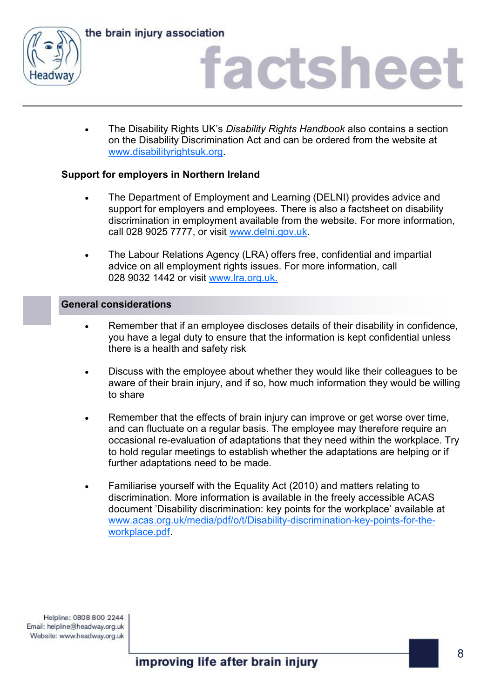



 The Disability Rights UK's *Disability Rights Handbook* also contains a section on the Disability Discrimination Act and can be ordered from the website at [www.disabilityrightsuk.org.](http://www.disabilityrightsuk.org)

### **Support for employers in Northern Ireland**

- The Department of Employment and Learning (DELNI) provides advice and support for employers and employees. There is also a factsheet on disability discrimination in employment available from the website. For more information, call 028 9025 7777, or visit www.delni.gov.uk.
- The Labour Relations Agency (LRA) offers free, confidential and impartial advice on all employment rights issues. For more information, call 028 9032 1442 or visit [www.lra.org.uk.](http://www.lra.org.uk)

### **General considerations**

- Remember that if an employee discloses details of their disability in confidence, you have a legal duty to ensure that the information is kept confidential unless there is a health and safety risk
- Discuss with the employee about whether they would like their colleagues to be aware of their brain injury, and if so, how much information they would be willing to share
- Remember that the effects of brain injury can improve or get worse over time, and can fluctuate on a regular basis. The employee may therefore require an occasional re-evaluation of adaptations that they need within the workplace. Try to hold regular meetings to establish whether the adaptations are helping or if further adaptations need to be made.
- Familiarise yourself with the Equality Act (2010) and matters relating to discrimination. More information is available in the freely accessible ACAS document 'Disability discrimination: key points for the workplace' available at [www.acas.org.uk/media/pdf/o/t/Disability-discrimination-key-points-for-the](http://www.acas.org.uk/media/pdf/o/t/Disability-discrimination-key-points-for-the-workplace.pdf)[workplace.pdf.](http://www.acas.org.uk/media/pdf/o/t/Disability-discrimination-key-points-for-the-workplace.pdf)

Helpline: 0808 800 2244 Email: helpline@headway.org.uk Website: www.headway.org.uk